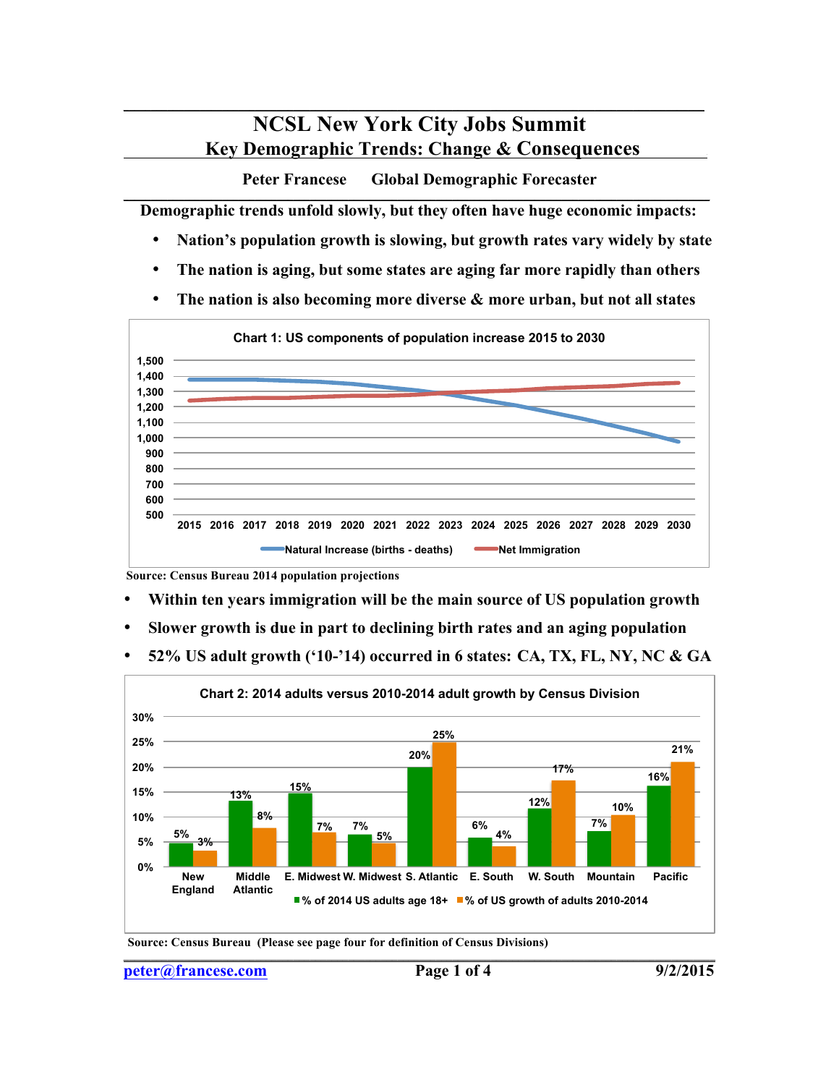## **NCSL New York City Jobs Summit Key Demographic Trends: Change & Consequences .**

 $\mathcal{L} = \{ \mathcal{L} \mathcal{L} \mathcal{L} \mathcal{L} \mathcal{L} \mathcal{L} \mathcal{L} \mathcal{L} \mathcal{L} \mathcal{L} \mathcal{L} \mathcal{L} \mathcal{L} \mathcal{L} \mathcal{L} \mathcal{L} \mathcal{L} \mathcal{L} \mathcal{L} \mathcal{L} \mathcal{L} \mathcal{L} \mathcal{L} \mathcal{L} \mathcal{L} \mathcal{L} \mathcal{L} \mathcal{L} \mathcal{L} \mathcal{L} \mathcal{L} \mathcal{L} \mathcal{L} \mathcal{L} \mathcal{L} \$ 

**Peter Francese Global Demographic Forecaster \_\_\_\_\_\_\_\_\_\_\_\_\_\_\_\_\_\_\_\_\_\_\_\_\_\_\_\_\_\_\_\_\_\_\_\_\_\_\_\_\_\_\_\_\_\_\_\_\_\_\_\_\_\_\_\_\_\_\_\_\_\_\_\_\_\_\_\_\_\_\_\_\_\_\_\_\_\_\_\_\_\_\_\_\_\_\_\_\_\_\_\_\_\_\_\_\_\_\_\_\_\_\_\_\_\_\_**

 **Demographic trends unfold slowly, but they often have huge economic impacts:**

- **Nation's population growth is slowing, but growth rates vary widely by state**
- **The nation is aging, but some states are aging far more rapidly than others**
- **The nation is also becoming more diverse & more urban, but not all states**



**Source: Census Bureau 2014 population projections**

- **Within ten years immigration will be the main source of US population growth**
- **Slower growth is due in part to declining birth rates and an aging population**
- **52% US adult growth ('10-'14) occurred in 6 states: CA, TX, FL, NY, NC & GA**



 $\mathcal{L} = \{ \mathcal{L} = \{ \mathcal{L} = \{ \mathcal{L} = \{ \mathcal{L} = \{ \mathcal{L} = \{ \mathcal{L} = \{ \mathcal{L} = \{ \mathcal{L} = \{ \mathcal{L} = \{ \mathcal{L} = \{ \mathcal{L} = \{ \mathcal{L} = \{ \mathcal{L} = \{ \mathcal{L} = \{ \mathcal{L} = \{ \mathcal{L} = \{ \mathcal{L} = \{ \mathcal{L} = \{ \mathcal{L} = \{ \mathcal{L} = \{ \mathcal{L} = \{ \mathcal{L} = \{ \mathcal{L} = \{ \mathcal{$ 

**Source: Census Bureau (Please see page four for definition of Census Divisions)**

**peter@francese.com** Page 1 of 4 9/2/2015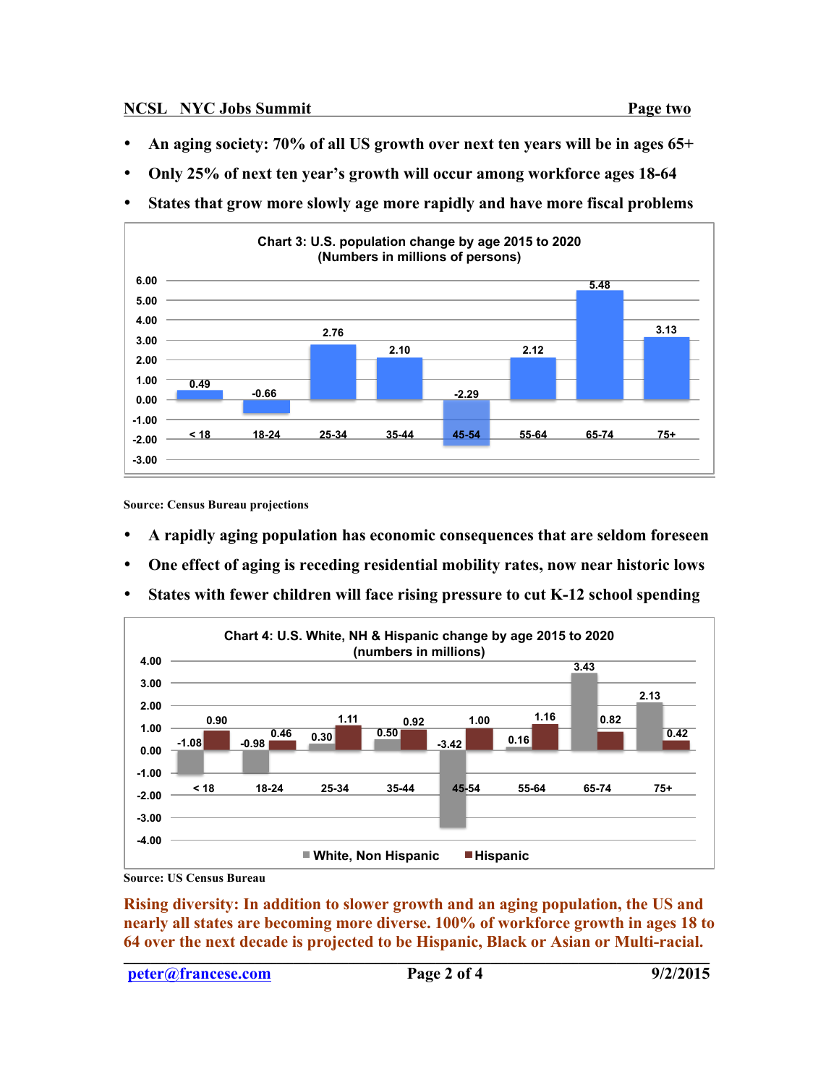- **An aging society: 70% of all US growth over next ten years will be in ages 65+**
- **Only 25% of next ten year's growth will occur among workforce ages 18-64**
- **States that grow more slowly age more rapidly and have more fiscal problems**



**Source: Census Bureau projections**

- **A rapidly aging population has economic consequences that are seldom foreseen**
- **One effect of aging is receding residential mobility rates, now near historic lows**
- **States with fewer children will face rising pressure to cut K-12 school spending**



**Source: US Census Bureau**

**Rising diversity: In addition to slower growth and an aging population, the US and nearly all states are becoming more diverse. 100% of workforce growth in ages 18 to**  64 over the next decade is projected to be Hispanic, Black or Asian or Multi-racial.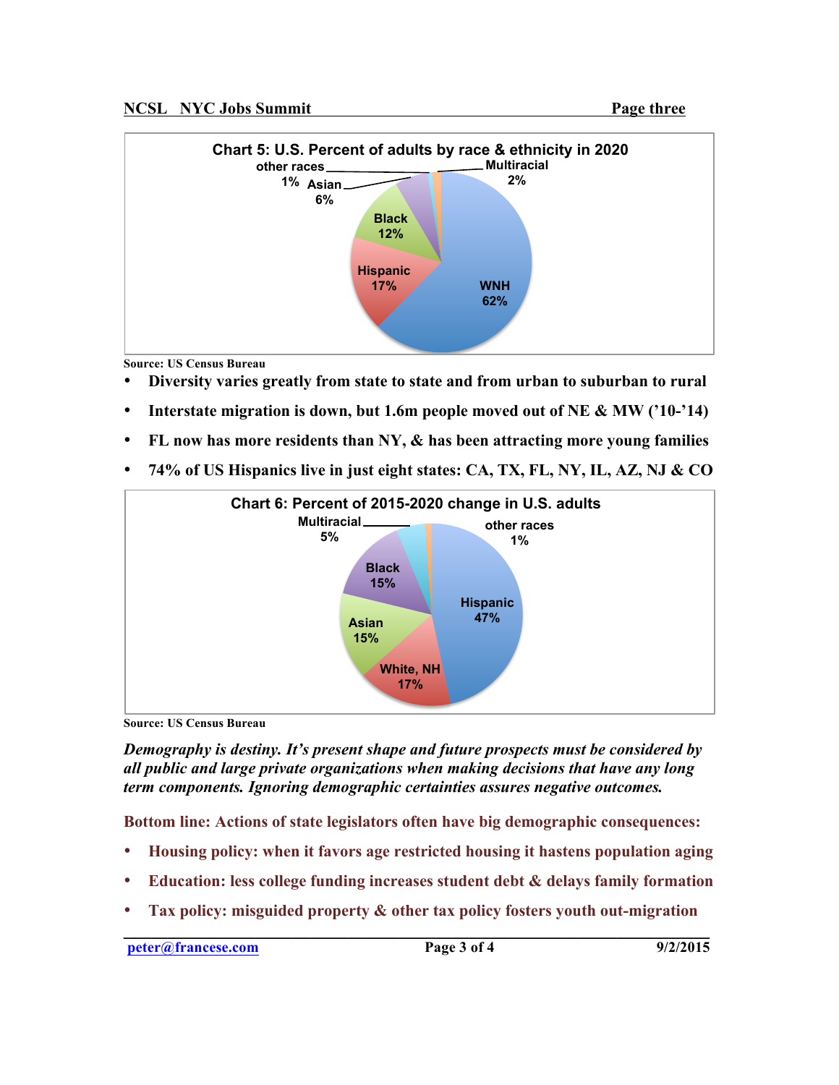

**Source: US Census Bureau**

- **Diversity varies greatly from state to state and from urban to suburban to rural**
- **Interstate migration is down, but 1.6m people moved out of NE & MW ('10-'14)**
- **FL now has more residents than NY, & has been attracting more young families**
- **74% of US Hispanics live in just eight states: CA, TX, FL, NY, IL, AZ, NJ & CO**



**Source: US Census Bureau**

*Demography is destiny. It's present shape and future prospects must be considered by all public and large private organizations when making decisions that have any long term components. Ignoring demographic certainties assures negative outcomes.*

**Bottom line: Actions of state legislators often have big demographic consequences:**

- **Housing policy: when it favors age restricted housing it hastens population aging**
- **Education: less college funding increases student debt & delays family formation**
- **Tax policy: misguided property & other tax policy fosters youth out-migration \_\_\_\_\_\_\_\_\_\_\_\_\_\_\_\_\_\_\_\_\_\_\_\_\_\_\_\_\_\_\_\_\_\_\_\_\_\_\_\_\_\_\_\_\_\_\_\_\_\_\_\_\_\_\_\_\_\_\_\_\_\_\_\_\_\_\_\_\_\_\_\_\_\_\_\_\_\_\_\_\_\_\_\_\_\_\_\_\_\_\_\_\_\_\_\_\_\_\_\_\_\_\_\_\_\_\_**